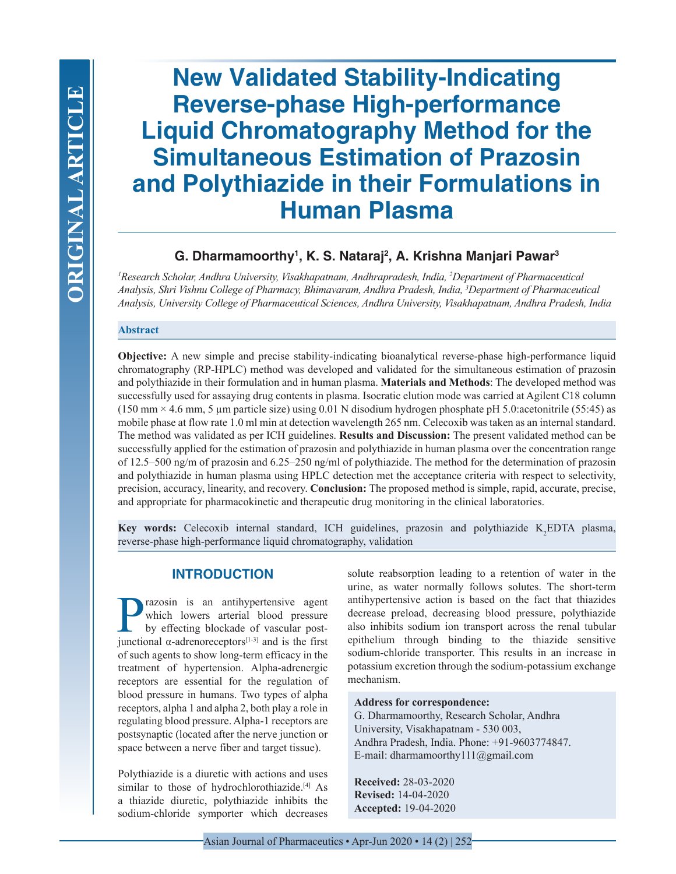# **New Validated Stability-Indicating Reverse-phase High-performance Liquid Chromatography Method for the Simultaneous Estimation of Prazosin and Polythiazide in their Formulations in Human Plasma**

# **G. Dharmamoorthy1 , K. S. Nataraj2 , A. Krishna Manjari Pawar3**

<sup>1</sup> Research Scholar, Andhra University, Visakhapatnam, Andhrapradesh, India, <sup>2</sup>Department of Pharmaceutical *Analysis, Shri Vishnu College of Pharmacy, Bhimavaram, Andhra Pradesh, India, 3 Department of Pharmaceutical Analysis, University College of Pharmaceutical Sciences, Andhra University, Visakhapatnam, Andhra Pradesh, India*

#### **Abstract**

**Objective:** A new simple and precise stability-indicating bioanalytical reverse-phase high-performance liquid chromatography (RP-HPLC) method was developed and validated for the simultaneous estimation of prazosin and polythiazide in their formulation and in human plasma. **Materials and Methods**: The developed method was successfully used for assaying drug contents in plasma. Isocratic elution mode was carried at Agilent C18 column (150 mm × 4.6 mm, 5 µm particle size) using 0.01 N disodium hydrogen phosphate pH 5.0:acetonitrile (55:45) as mobile phase at flow rate 1.0 ml min at detection wavelength 265 nm. Celecoxib was taken as an internal standard. The method was validated as per ICH guidelines. **Results and Discussion:** The present validated method can be successfully applied for the estimation of prazosin and polythiazide in human plasma over the concentration range of 12.5–500 ng/m of prazosin and 6.25–250 ng/ml of polythiazide. The method for the determination of prazosin and polythiazide in human plasma using HPLC detection met the acceptance criteria with respect to selectivity, precision, accuracy, linearity, and recovery. **Conclusion:** The proposed method is simple, rapid, accurate, precise, and appropriate for pharmacokinetic and therapeutic drug monitoring in the clinical laboratories.

**Key words:** Celecoxib internal standard, ICH guidelines, prazosin and polythiazide K<sub>2</sub>EDTA plasma, reverse-phase high-performance liquid chromatography, validation

## **INTRODUCTION**

**Prazosin** is an antihypertensive agent<br>which lowers arterial blood pressure<br>by effecting blockade of vascular post-<br>iunctional  $\alpha$ -adrenorecentors<sup>[1-3]</sup> and is the first which lowers arterial blood pressure by effecting blockade of vascular postjunctional α-adrenoreceptors<sup>[1-3]</sup> and is the first of such agents to show long-term efficacy in the treatment of hypertension. Alpha-adrenergic receptors are essential for the regulation of blood pressure in humans. Two types of alpha receptors, alpha 1 and alpha 2, both play a role in regulating blood pressure. Alpha-1 receptors are postsynaptic (located after the nerve junction or space between a nerve fiber and target tissue).

Polythiazide is a diuretic with actions and uses similar to those of hydrochlorothiazide.<sup>[4]</sup> As a thiazide diuretic, polythiazide inhibits the sodium-chloride symporter which decreases solute reabsorption leading to a retention of water in the urine, as water normally follows solutes. The short-term antihypertensive action is based on the fact that thiazides decrease preload, decreasing blood pressure, polythiazide also inhibits sodium ion transport across the renal tubular epithelium through binding to the thiazide sensitive sodium-chloride transporter. This results in an increase in potassium excretion through the sodium-potassium exchange mechanism.

#### **Address for correspondence:**

G. Dharmamoorthy, Research Scholar, Andhra University, Visakhapatnam - 530 003, Andhra Pradesh, India. Phone: +91-9603774847. E-mail: dharmamoorthy111@gmail.com

**Received:** 28-03-2020 **Revised:** 14-04-2020 **Accepted:** 19-04-2020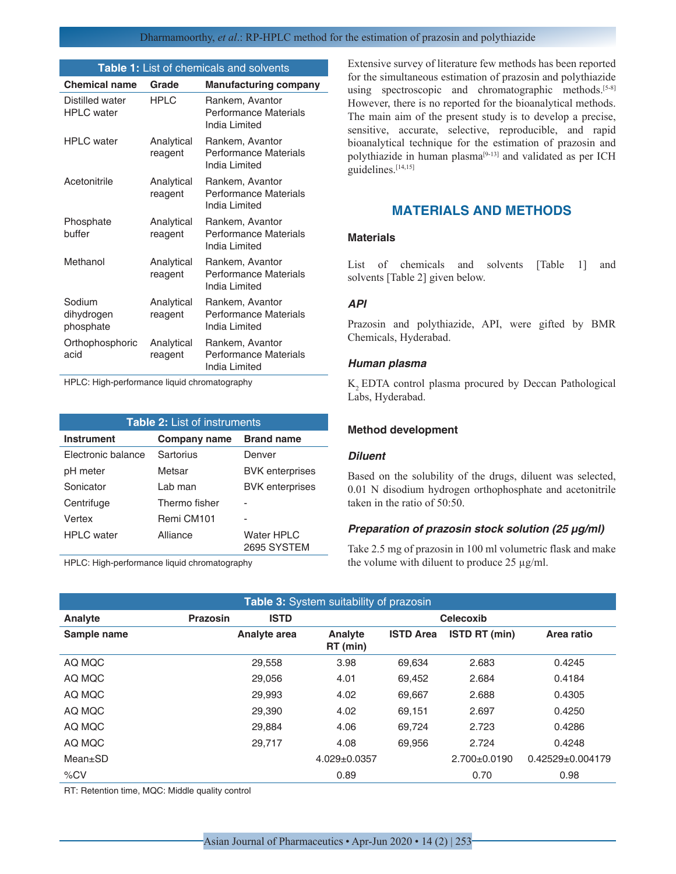#### Dharmamoorthy, *et al*.: RP-HPLC method for the estimation of prazosin and polythiazide

| <b>Table 1:</b> List of chemicals and solvents |                       |                                                                  |  |  |  |
|------------------------------------------------|-----------------------|------------------------------------------------------------------|--|--|--|
| <b>Chemical name</b>                           | Grade                 | <b>Manufacturing company</b>                                     |  |  |  |
| Distilled water<br><b>HPLC</b> water           | <b>HPLC</b>           | Rankem, Avantor<br>Performance Materials<br>India Limited        |  |  |  |
| <b>HPLC</b> water                              | Analytical<br>reagent | Rankem, Avantor<br>Performance Materials<br>India Limited        |  |  |  |
| Acetonitrile                                   | Analytical<br>reagent | Rankem, Avantor<br>Performance Materials<br>India Limited        |  |  |  |
| Phosphate<br>buffer                            | Analytical<br>reagent | Rankem, Avantor<br>Performance Materials<br>India Limited        |  |  |  |
| Methanol                                       | Analytical<br>reagent | Rankem, Avantor<br>Performance Materials<br>India Limited        |  |  |  |
| Sodium<br>dihydrogen<br>phosphate              | Analytical<br>reagent | Rankem, Avantor<br><b>Performance Materials</b><br>India Limited |  |  |  |
| Orthophosphoric<br>acid                        | Analytical<br>reagent | Rankem, Avantor<br><b>Performance Materials</b><br>India Limited |  |  |  |

HPLC: High-performance liquid chromatography

| <b>Table 2: List of instruments</b> |               |                                  |  |  |  |
|-------------------------------------|---------------|----------------------------------|--|--|--|
| <b>Instrument</b>                   | Company name  | <b>Brand name</b>                |  |  |  |
| Electronic balance                  | Sartorius     | Denver                           |  |  |  |
| pH meter                            | Metsar        | <b>BVK</b> enterprises           |  |  |  |
| Sonicator                           | Lab man       | <b>BVK</b> enterprises           |  |  |  |
| Centrifuge                          | Thermo fisher |                                  |  |  |  |
| Vertex                              | Remi CM101    |                                  |  |  |  |
| <b>HPLC</b> water                   | Alliance      | <b>Water HPLC</b><br>2695 SYSTEM |  |  |  |

HPLC: High-performance liquid chromatography

Extensive survey of literature few methods has been reported for the simultaneous estimation of prazosin and polythiazide using spectroscopic and chromatographic methods.<sup>[5-8]</sup> However, there is no reported for the bioanalytical methods. The main aim of the present study is to develop a precise, sensitive, accurate, selective, reproducible, and rapid bioanalytical technique for the estimation of prazosin and polythiazide in human plasma<sup>[9-13]</sup> and validated as per ICH guidelines.[14,15]

## **MATERIALS AND METHODS**

## **Materials**

List of chemicals and solvents [Table 1] and solvents [Table 2] given below.

#### *API*

Prazosin and polythiazide, API, were gifted by BMR Chemicals, Hyderabad.

#### *Human plasma*

K<sub>2</sub> EDTA control plasma procured by Deccan Pathological Labs, Hyderabad.

#### **Method development**

#### *Diluent*

Based on the solubility of the drugs, diluent was selected, 0.01 N disodium hydrogen orthophosphate and acetonitrile taken in the ratio of 50:50.

#### *Preparation of prazosin stock solution (25 µg/ml)*

Take 2.5 mg of prazosin in 100 ml volumetric flask and make the volume with diluent to produce  $25 \mu g/ml$ .

| Table 3: System suitability of prazosin |          |                     |                     |                  |                      |                      |
|-----------------------------------------|----------|---------------------|---------------------|------------------|----------------------|----------------------|
| Analyte                                 | Prazosin | <b>ISTD</b>         |                     |                  | Celecoxib            |                      |
| Sample name                             |          | <b>Analyte area</b> | Analyte<br>RT (min) | <b>ISTD Area</b> | <b>ISTD RT (min)</b> | Area ratio           |
| AO MOC                                  |          | 29,558              | 3.98                | 69.634           | 2.683                | 0.4245               |
| AQ MQC                                  |          | 29,056              | 4.01                | 69.452           | 2.684                | 0.4184               |
| AQ MQC                                  |          | 29.993              | 4.02                | 69.667           | 2.688                | 0.4305               |
| AO MOC                                  |          | 29,390              | 4.02                | 69.151           | 2.697                | 0.4250               |
| AQ MQC                                  |          | 29,884              | 4.06                | 69,724           | 2.723                | 0.4286               |
| AQ MQC                                  |          | 29,717              | 4.08                | 69.956           | 2.724                | 0.4248               |
| $Mean \pm SD$                           |          |                     | $4.029 \pm 0.0357$  |                  | $2.700+0.0190$       | $0.42529 + 0.004179$ |
| %CV                                     |          |                     | 0.89                |                  | 0.70                 | 0.98                 |

RT: Retention time, MQC: Middle quality control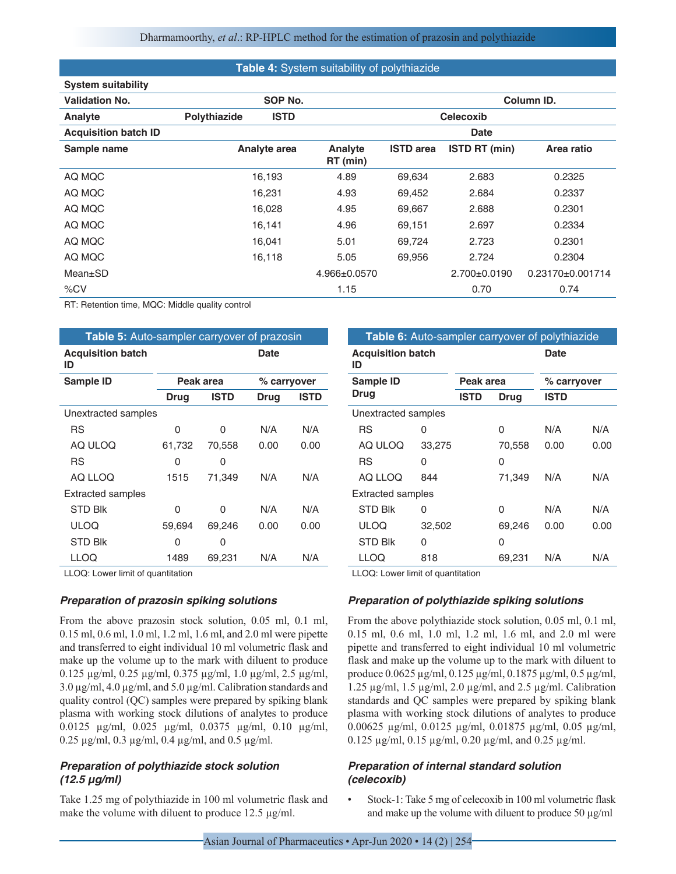#### **Table 4:** System suitability of polythiazide

| <b>System suitability</b>   |              |              |                     |                  |                      |                    |
|-----------------------------|--------------|--------------|---------------------|------------------|----------------------|--------------------|
| <b>Validation No.</b>       |              | SOP No.      |                     |                  |                      | Column ID.         |
| Analyte                     | Polythiazide | <b>ISTD</b>  |                     |                  | <b>Celecoxib</b>     |                    |
| <b>Acquisition batch ID</b> |              |              |                     |                  | Date                 |                    |
| Sample name                 |              | Analyte area | Analyte<br>RT (min) | <b>ISTD</b> area | <b>ISTD RT (min)</b> | Area ratio         |
| AQ MQC                      |              | 16,193       | 4.89                | 69,634           | 2.683                | 0.2325             |
| AQ MQC                      |              | 16,231       | 4.93                | 69,452           | 2.684                | 0.2337             |
| AQ MQC                      |              | 16,028       | 4.95                | 69.667           | 2.688                | 0.2301             |
| AQ MQC                      |              | 16,141       | 4.96                | 69,151           | 2.697                | 0.2334             |
| AQ MQC                      |              | 16,041       | 5.01                | 69,724           | 2.723                | 0.2301             |
| AQ MQC                      |              | 16,118       | 5.05                | 69,956           | 2.724                | 0.2304             |
| $Mean \pm SD$               |              |              | $4.966 \pm 0.0570$  |                  | $2.700+0.0190$       | $0.23170+0.001714$ |
| %CV                         |              |              | 1.15                |                  | 0.70                 | 0.74               |

RT: Retention time, MQC: Middle quality control

| Table 5: Auto-sampler carryover of prazosin |             |             |             |             |  |  |
|---------------------------------------------|-------------|-------------|-------------|-------------|--|--|
| <b>Acquisition batch</b><br>ID              |             |             | Date        |             |  |  |
| Sample ID                                   |             | Peak area   | % carryover |             |  |  |
|                                             | <b>Drug</b> | <b>ISTD</b> | <b>Drug</b> | <b>ISTD</b> |  |  |
| Unextracted samples                         |             |             |             |             |  |  |
| RS                                          | 0           | U           | N/A         | N/A         |  |  |
| AQ ULOQ                                     | 61,732      | 70,558      | 0.00        | 0.00        |  |  |
| RS                                          | 0           | O           |             |             |  |  |
| AO LLOO                                     | 1515        | 71,349      | N/A         | N/A         |  |  |
| <b>Extracted samples</b>                    |             |             |             |             |  |  |
| <b>STD Blk</b>                              | O           | U           | N/A         | N/A         |  |  |
| ULOQ                                        | 59,694      | 69,246      | 0.00        | 0.00        |  |  |
| <b>STD Blk</b>                              | 0           | U           |             |             |  |  |
| LLOQ                                        | 1489        | 69,231      | N/A         | N/A         |  |  |

LLOQ: Lower limit of quantitation

#### *Preparation of prazosin spiking solutions*

From the above prazosin stock solution, 0.05 ml, 0.1 ml, 0.15 ml, 0.6 ml, 1.0 ml, 1.2 ml, 1.6 ml, and 2.0 ml were pipette and transferred to eight individual 10 ml volumetric flask and make up the volume up to the mark with diluent to produce 0.125 µg/ml, 0.25 µg/ml, 0.375 µg/ml, 1.0 µg/ml, 2.5 µg/ml, 3.0 µg/ml, 4.0 µg/ml, and 5.0 µg/ml. Calibration standards and quality control (QC) samples were prepared by spiking blank plasma with working stock dilutions of analytes to produce 0.0125 µg/ml, 0.025 µg/ml, 0.0375 µg/ml, 0.10 µg/ml, 0.25 µg/ml, 0.3 µg/ml, 0.4 µg/ml, and 0.5 µg/ml.

## *Preparation of polythiazide stock solution (12.5 µg/ml)*

Take 1.25 mg of polythiazide in 100 ml volumetric flask and make the volume with diluent to produce 12.5  $\mu$ g/ml.

| Table 6: Auto-sampler carryover of polythiazide |        |             |        |             |      |  |
|-------------------------------------------------|--------|-------------|--------|-------------|------|--|
| <b>Acquisition batch</b><br>Date<br>ID          |        |             |        |             |      |  |
| Sample ID                                       |        | Peak area   |        | % carryover |      |  |
| Drug                                            |        | <b>ISTD</b> | Drug   | ISTD        |      |  |
| Unextracted samples                             |        |             |        |             |      |  |
| <b>RS</b>                                       | O      |             | O      | N/A         | N/A  |  |
| AQ ULOQ                                         | 33,275 |             | 70,558 | 0.00        | 0.00 |  |
| <b>RS</b>                                       | 0      |             | Ω      |             |      |  |
| AQ LLOQ                                         | 844    |             | 71,349 | N/A         | N/A  |  |
| <b>Extracted samples</b>                        |        |             |        |             |      |  |
| <b>STD Blk</b>                                  | O      |             | O      | N/A         | N/A  |  |
| <b>ULOQ</b>                                     | 32,502 |             | 69,246 | 0.00        | 0.00 |  |
| <b>STD Blk</b>                                  | 0      |             | O      |             |      |  |
| LLOQ                                            | 818    |             | 69.231 | N/A         | N/A  |  |

LLOQ: Lower limit of quantitation

## *Preparation of polythiazide spiking solutions*

From the above polythiazide stock solution, 0.05 ml, 0.1 ml, 0.15 ml, 0.6 ml, 1.0 ml, 1.2 ml, 1.6 ml, and 2.0 ml were pipette and transferred to eight individual 10 ml volumetric flask and make up the volume up to the mark with diluent to produce 0.0625 µg/ml, 0.125 µg/ml, 0.1875 µg/ml, 0.5 µg/ml, 1.25 µg/ml, 1.5 µg/ml, 2.0 µg/ml, and 2.5 µg/ml. Calibration standards and QC samples were prepared by spiking blank plasma with working stock dilutions of analytes to produce 0.00625 µg/ml, 0.0125 µg/ml, 0.01875 µg/ml, 0.05 µg/ml, 0.125 µg/ml, 0.15 µg/ml, 0.20 µg/ml, and 0.25 µg/ml.

## *Preparation of internal standard solution (celecoxib)*

• Stock-1: Take 5 mg of celecoxib in 100 ml volumetric flask and make up the volume with diluent to produce 50 µg/ml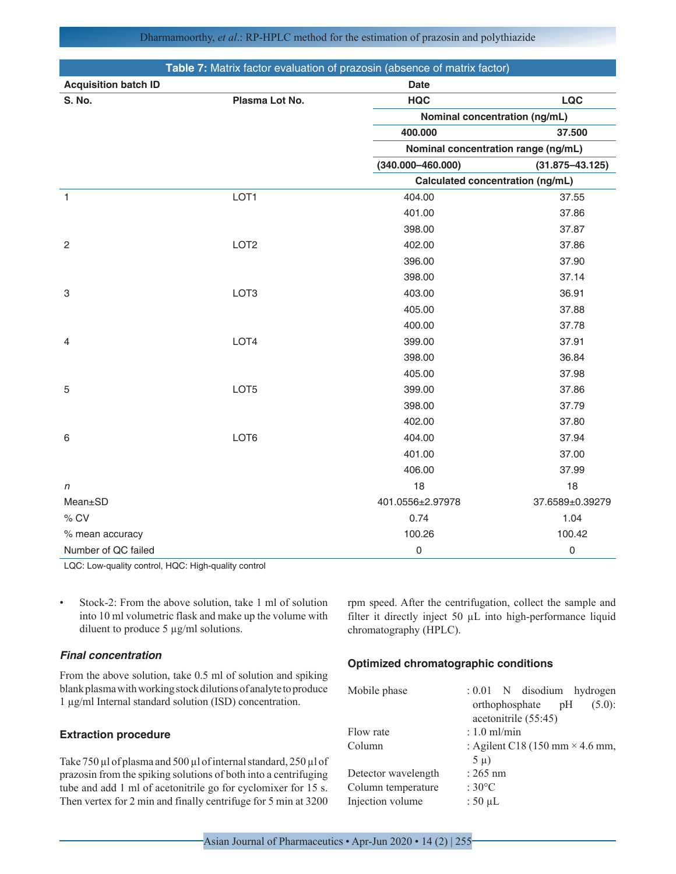| Dharmamoorthy, et al.: RP-HPLC method for the estimation of prazosin and polythiazide |
|---------------------------------------------------------------------------------------|
|---------------------------------------------------------------------------------------|

| Table 7: Matrix factor evaluation of prazosin (absence of matrix factor) |                  |                                     |                     |  |  |
|--------------------------------------------------------------------------|------------------|-------------------------------------|---------------------|--|--|
| <b>Acquisition batch ID</b>                                              |                  | <b>Date</b>                         |                     |  |  |
| S. No.                                                                   | Plasma Lot No.   | <b>HQC</b>                          | <b>LQC</b>          |  |  |
|                                                                          |                  | Nominal concentration (ng/mL)       |                     |  |  |
|                                                                          |                  | 400.000                             | 37.500              |  |  |
|                                                                          |                  | Nominal concentration range (ng/mL) |                     |  |  |
|                                                                          |                  | $(340.000 - 460.000)$               | $(31.875 - 43.125)$ |  |  |
|                                                                          |                  | Calculated concentration (ng/mL)    |                     |  |  |
| $\mathbf{1}$                                                             | LOT1             | 404.00                              | 37.55               |  |  |
|                                                                          |                  | 401.00                              | 37.86               |  |  |
|                                                                          |                  | 398.00                              | 37.87               |  |  |
| $\overline{c}$                                                           | LOT <sub>2</sub> | 402.00                              | 37.86               |  |  |
|                                                                          |                  | 396.00                              | 37.90               |  |  |
|                                                                          |                  | 398.00                              | 37.14               |  |  |
| 3                                                                        | LOT <sub>3</sub> | 403.00                              | 36.91               |  |  |
|                                                                          |                  | 405.00                              | 37.88               |  |  |
|                                                                          |                  | 400.00                              | 37.78               |  |  |
| $\overline{4}$                                                           | LOT4             | 399.00                              | 37.91               |  |  |
|                                                                          |                  | 398.00                              | 36.84               |  |  |
|                                                                          |                  | 405.00                              | 37.98               |  |  |
| 5                                                                        | LOT5             | 399.00                              | 37.86               |  |  |
|                                                                          |                  | 398.00                              | 37.79               |  |  |
|                                                                          |                  | 402.00                              | 37.80               |  |  |
| 6                                                                        | LOT6             | 404.00                              | 37.94               |  |  |
|                                                                          |                  | 401.00                              | 37.00               |  |  |
|                                                                          |                  | 406.00                              | 37.99               |  |  |
| n                                                                        |                  | 18                                  | 18                  |  |  |
| Mean±SD                                                                  |                  | 401.0556±2.97978                    | 37.6589±0.39279     |  |  |
| % CV                                                                     |                  | 0.74                                | 1.04                |  |  |
| % mean accuracy                                                          |                  | 100.26                              | 100.42              |  |  |
| Number of QC failed                                                      |                  | 0                                   | 0                   |  |  |

LQC: Low-quality control, HQC: High-quality control

• Stock-2: From the above solution, take 1 ml of solution into 10 ml volumetric flask and make up the volume with diluent to produce 5 µg/ml solutions.

## *Final concentration*

From the above solution, take 0.5 ml of solution and spiking blank plasma with working stock dilutions of analyte to produce 1 µg/ml Internal standard solution (ISD) concentration.

## **Extraction procedure**

Take 750 µl of plasma and 500 µl of internal standard, 250 µl of prazosin from the spiking solutions of both into a centrifuging tube and add 1 ml of acetonitrile go for cyclomixer for 15 s. Then vertex for 2 min and finally centrifuge for 5 min at 3200

rpm speed. After the centrifugation, collect the sample and filter it directly inject 50 µL into high-performance liquid chromatography (HPLC).

## **Optimized chromatographic conditions**

| Mobile phase        | $: 0.01$ N disodium hydrogen                              |
|---------------------|-----------------------------------------------------------|
|                     | orthophosphate<br>pH<br>$(5.0)$ :<br>acetonitrile (55:45) |
| Flow rate           | $: 1.0$ ml/min                                            |
| Column              | : Agilent C18 (150 mm $\times$ 4.6 mm,                    |
|                     | $5 \mu$ )                                                 |
| Detector wavelength | $: 265$ nm                                                |
| Column temperature  | : $30^{\circ}$ C                                          |
| Injection volume    | : $50 \mu L$                                              |
|                     |                                                           |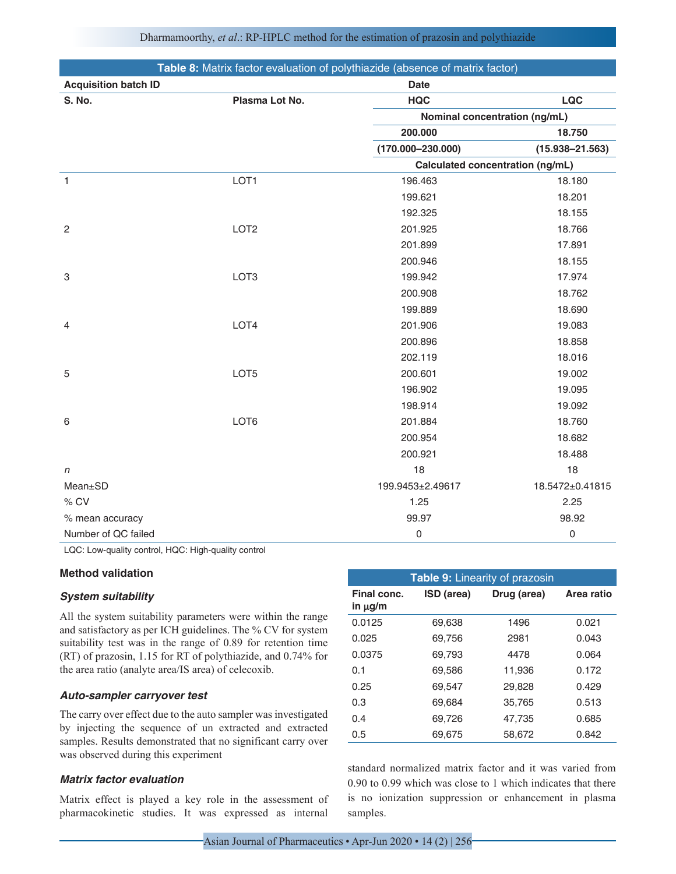| Dharmamoorthy, et al.: RP-HPLC method for the estimation of prazosin and polythiazide |  |  |  |  |  |
|---------------------------------------------------------------------------------------|--|--|--|--|--|
|---------------------------------------------------------------------------------------|--|--|--|--|--|

| <b>Table 8:</b> Matrix factor evaluation of polythiazide (absence of matrix factor) |                  |                                  |                     |  |  |
|-------------------------------------------------------------------------------------|------------------|----------------------------------|---------------------|--|--|
| <b>Acquisition batch ID</b>                                                         |                  | <b>Date</b>                      |                     |  |  |
| S. No.                                                                              | Plasma Lot No.   | <b>HQC</b>                       | <b>LQC</b>          |  |  |
|                                                                                     |                  | Nominal concentration (ng/mL)    |                     |  |  |
|                                                                                     |                  | 200.000                          | 18.750              |  |  |
|                                                                                     |                  | $(170.000 - 230.000)$            | $(15.938 - 21.563)$ |  |  |
|                                                                                     |                  | Calculated concentration (ng/mL) |                     |  |  |
| $\mathbf{1}$                                                                        | LOT1             | 196.463                          | 18.180              |  |  |
|                                                                                     |                  | 199.621                          | 18.201              |  |  |
|                                                                                     |                  | 192.325                          | 18.155              |  |  |
| $\overline{c}$                                                                      | LOT <sub>2</sub> | 201.925                          | 18.766              |  |  |
|                                                                                     |                  | 201.899                          | 17.891              |  |  |
|                                                                                     |                  | 200.946                          | 18.155              |  |  |
| 3                                                                                   | LOT <sub>3</sub> | 199.942                          | 17.974              |  |  |
|                                                                                     |                  | 200.908                          | 18.762              |  |  |
|                                                                                     |                  | 199.889                          | 18.690              |  |  |
| $\overline{4}$                                                                      | LOT4             | 201.906                          | 19.083              |  |  |
|                                                                                     |                  | 200.896                          | 18.858              |  |  |
|                                                                                     |                  | 202.119                          | 18.016              |  |  |
| 5                                                                                   | LOT5             | 200.601                          | 19.002              |  |  |
|                                                                                     |                  | 196.902                          | 19.095              |  |  |
|                                                                                     |                  | 198.914                          | 19.092              |  |  |
| 6                                                                                   | LOT6             | 201.884                          | 18.760              |  |  |
|                                                                                     |                  | 200.954                          | 18.682              |  |  |
|                                                                                     |                  | 200.921                          | 18.488              |  |  |
| n                                                                                   |                  | 18                               | 18                  |  |  |
| Mean±SD                                                                             |                  | 199.9453±2.49617                 | 18.5472±0.41815     |  |  |
| % CV                                                                                |                  | 1.25                             | 2.25                |  |  |
| % mean accuracy                                                                     |                  | 99.97                            | 98.92               |  |  |
| Number of QC failed                                                                 |                  | 0                                | 0                   |  |  |

LQC: Low-quality control, HQC: High-quality control

#### **Method validation**

#### *System suitability*

All the system suitability parameters were within the range and satisfactory as per ICH guidelines. The % CV for system suitability test was in the range of 0.89 for retention time (RT) of prazosin, 1.15 for RT of polythiazide, and 0.74% for the area ratio (analyte area/IS area) of celecoxib.

#### *Auto-sampler carryover test*

The carry over effect due to the auto sampler was investigated by injecting the sequence of un extracted and extracted samples. Results demonstrated that no significant carry over was observed during this experiment

## *Matrix factor evaluation*

Matrix effect is played a key role in the assessment of pharmacokinetic studies. It was expressed as internal

| <b>Table 9:</b> Linearity of prazosin |            |             |            |  |  |  |
|---------------------------------------|------------|-------------|------------|--|--|--|
| Final conc.<br>in $\mu$ g/m           | ISD (area) | Drug (area) | Area ratio |  |  |  |
| 0.0125                                | 69.638     | 1496        | 0.021      |  |  |  |
| 0.025                                 | 69.756     | 2981        | 0.043      |  |  |  |
| 0.0375                                | 69.793     | 4478        | 0.064      |  |  |  |
| 0.1                                   | 69.586     | 11.936      | 0.172      |  |  |  |
| 0.25                                  | 69.547     | 29,828      | 0.429      |  |  |  |
| 0.3                                   | 69.684     | 35,765      | 0.513      |  |  |  |
| 0.4                                   | 69.726     | 47,735      | 0.685      |  |  |  |
| 0.5                                   | 69,675     | 58,672      | 0.842      |  |  |  |

standard normalized matrix factor and it was varied from 0.90 to 0.99 which was close to 1 which indicates that there is no ionization suppression or enhancement in plasma samples.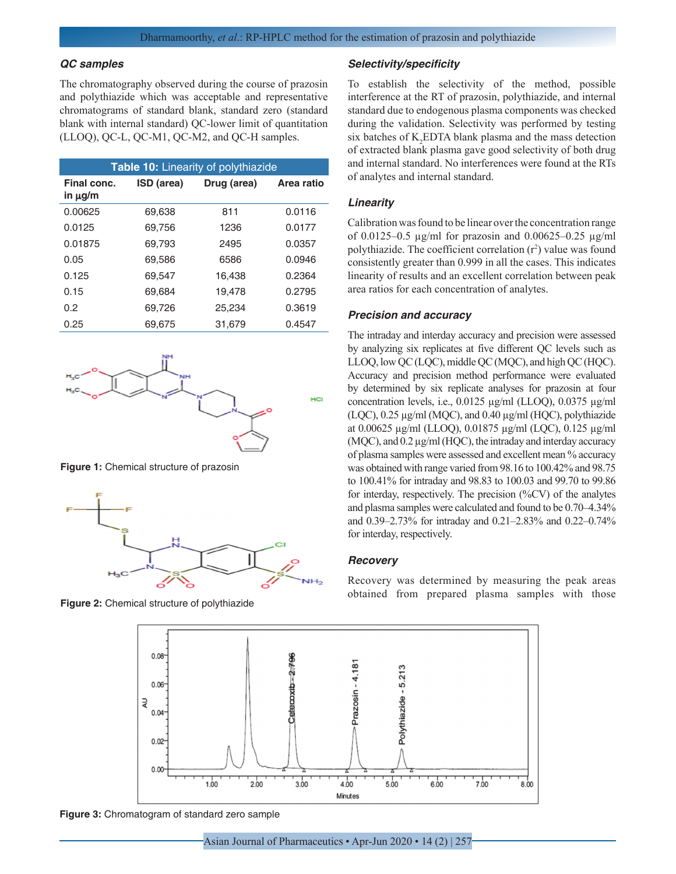#### *QC samples*

The chromatography observed during the course of prazosin and polythiazide which was acceptable and representative chromatograms of standard blank, standard zero (standard blank with internal standard) QC-lower limit of quantitation (LLOQ), QC-L, QC-M1, QC-M2, and QC-H samples.

| <b>Table 10: Linearity of polythiazide</b> |            |             |            |  |  |
|--------------------------------------------|------------|-------------|------------|--|--|
| Final conc.<br>in $\mu$ g/m                | ISD (area) | Drug (area) | Area ratio |  |  |
| 0.00625                                    | 69.638     | 811         | 0.0116     |  |  |
| 0.0125                                     | 69.756     | 1236        | 0.0177     |  |  |
| 0.01875                                    | 69.793     | 2495        | 0.0357     |  |  |
| 0.05                                       | 69,586     | 6586        | 0.0946     |  |  |
| 0.125                                      | 69.547     | 16.438      | 0.2364     |  |  |
| 0.15                                       | 69,684     | 19,478      | 0.2795     |  |  |
| 0.2                                        | 69.726     | 25.234      | 0.3619     |  |  |
| 0.25                                       | 69,675     | 31,679      | 0.4547     |  |  |



**Figure 1:** Chemical structure of prazosin



**Figure 2:** Chemical structure of polythiazide

#### *Selectivity/specificity*

To establish the selectivity of the method, possible interference at the RT of prazosin, polythiazide, and internal standard due to endogenous plasma components was checked during the validation. Selectivity was performed by testing six batches of  $K_2$ EDTA blank plasma and the mass detection of extracted blank plasma gave good selectivity of both drug and internal standard. No interferences were found at the RTs of analytes and internal standard.

#### *Linearity*

Calibration was found to be linear over the concentration range of 0.0125–0.5 µg/ml for prazosin and 0.00625–0.25 µg/ml polythiazide. The coefficient correlation  $(r^2)$  value was found consistently greater than 0.999 in all the cases. This indicates linearity of results and an excellent correlation between peak area ratios for each concentration of analytes.

### *Precision and accuracy*

The intraday and interday accuracy and precision were assessed by analyzing six replicates at five different QC levels such as LLOQ, low QC (LQC), middle QC (MQC), and high QC (HQC). Accuracy and precision method performance were evaluated by determined by six replicate analyses for prazosin at four concentration levels, i.e., 0.0125 µg/ml (LLOQ), 0.0375 µg/ml (LQC), 0.25 µg/ml (MQC), and 0.40 µg/ml (HQC), polythiazide at 0.00625 µg/ml (LLOQ), 0.01875 µg/ml (LQC), 0.125 µg/ml (MQC), and 0.2 µg/ml (HQC), the intraday and interday accuracy of plasma samples were assessed and excellent mean % accuracy was obtained with range varied from 98.16 to 100.42% and 98.75 to 100.41% for intraday and 98.83 to 100.03 and 99.70 to 99.86 for interday, respectively. The precision (%CV) of the analytes and plasma samples were calculated and found to be 0.70–4.34% and 0.39–2.73% for intraday and 0.21–2.83% and 0.22–0.74% for interday, respectively.

#### *Recovery*

Recovery was determined by measuring the peak areas obtained from prepared plasma samples with those



**Figure 3:** Chromatogram of standard zero sample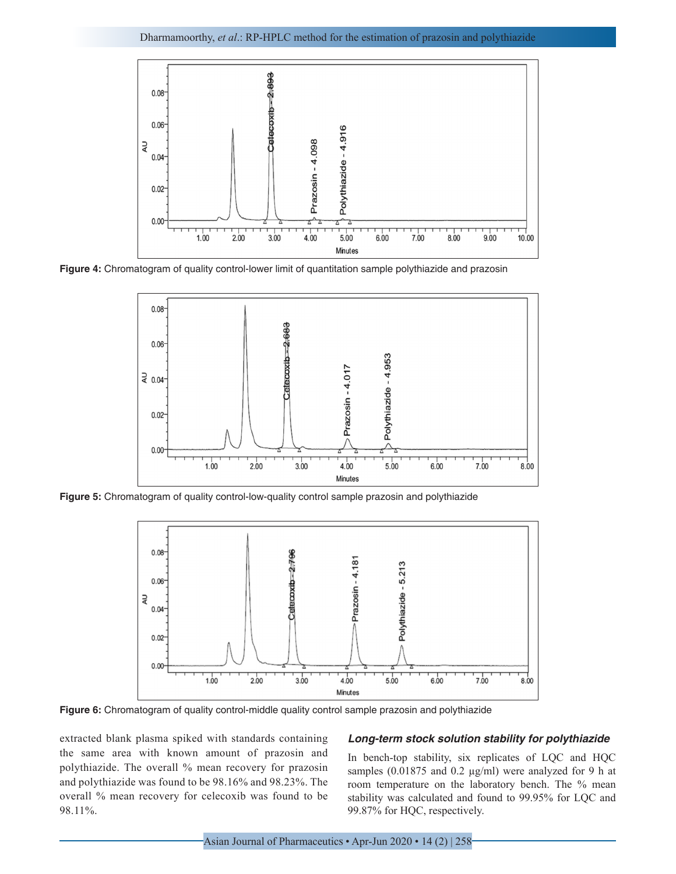

**Figure 4:** Chromatogram of quality control-lower limit of quantitation sample polythiazide and prazosin



Figure 5: Chromatogram of quality control-low-quality control sample prazosin and polythiazide



Figure 6: Chromatogram of quality control-middle quality control sample prazosin and polythiazide

extracted blank plasma spiked with standards containing the same area with known amount of prazosin and polythiazide. The overall % mean recovery for prazosin and polythiazide was found to be 98.16% and 98.23%. The overall % mean recovery for celecoxib was found to be 98.11%.

#### *Long-term stock solution stability for polythiazide*

In bench-top stability, six replicates of LQC and HQC samples (0.01875 and 0.2 µg/ml) were analyzed for 9 h at room temperature on the laboratory bench. The % mean stability was calculated and found to 99.95% for LQC and 99.87% for HQC, respectively.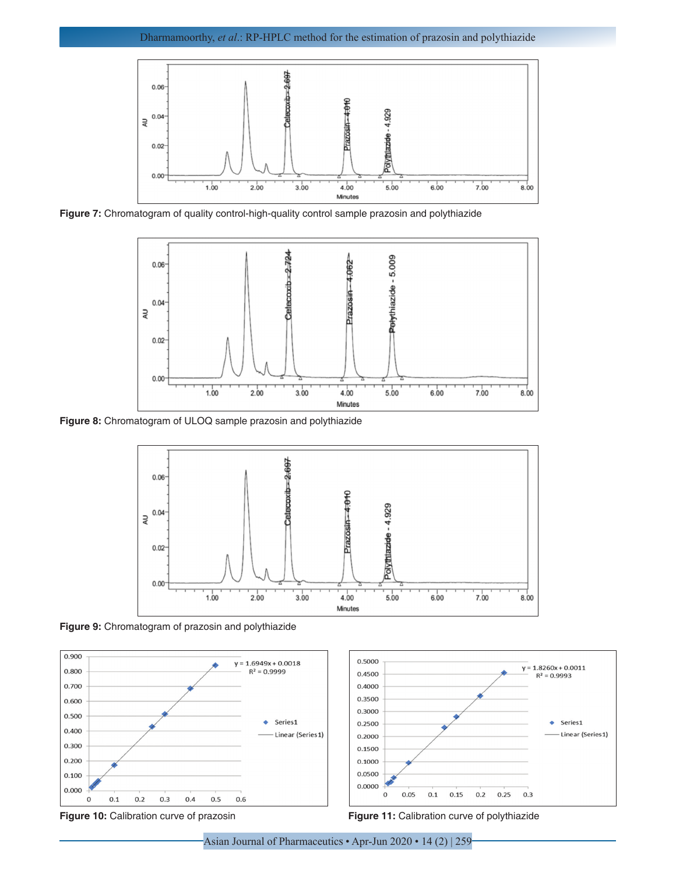

**Figure 7:** Chromatogram of quality control-high-quality control sample prazosin and polythiazide



**Figure 8:** Chromatogram of ULOQ sample prazosin and polythiazide



**Figure 9:** Chromatogram of prazosin and polythiazide



**Figure 10:** Calibration curve of prazosin **Figure 11:** Calibration curve of polythiazide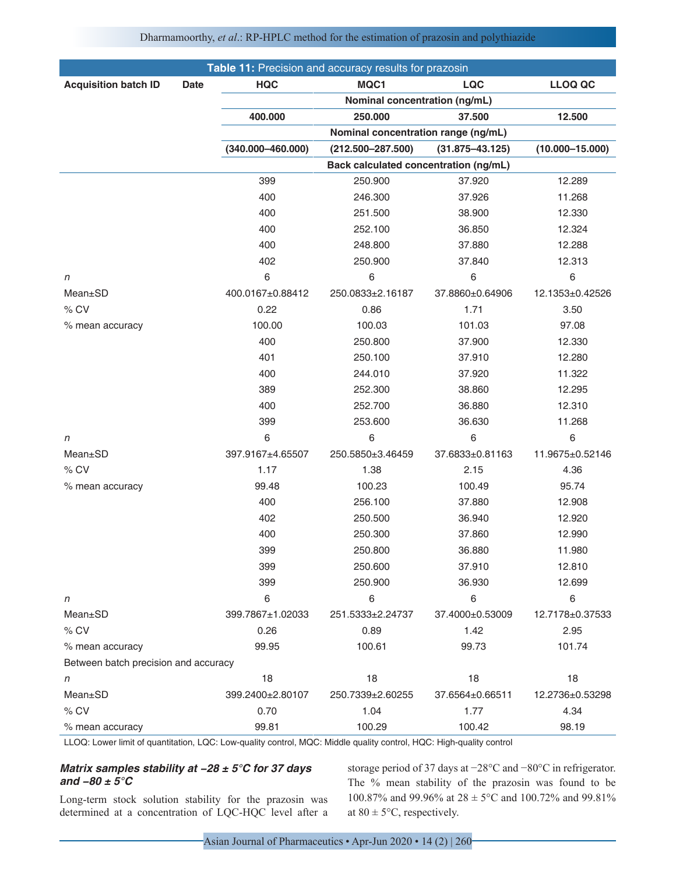|                                      |             |                       | Table 11: Precision and accuracy results for prazosin |                               |                     |
|--------------------------------------|-------------|-----------------------|-------------------------------------------------------|-------------------------------|---------------------|
| <b>Acquisition batch ID</b>          | <b>Date</b> | <b>HQC</b>            | MQC1                                                  | LQC                           | <b>LLOQ QC</b>      |
|                                      |             |                       |                                                       | Nominal concentration (ng/mL) |                     |
|                                      |             | 400.000               | 250.000                                               | 37.500                        | 12.500              |
|                                      |             |                       | Nominal concentration range (ng/mL)                   |                               |                     |
|                                      |             | $(340.000 - 460.000)$ | $(212.500 - 287.500)$                                 | $(31.875 - 43.125)$           | $(10.000 - 15.000)$ |
|                                      |             |                       | Back calculated concentration (ng/mL)                 |                               |                     |
|                                      |             | 399                   | 250.900                                               | 37.920                        | 12.289              |
|                                      |             | 400                   | 246.300                                               | 37.926                        | 11.268              |
|                                      |             | 400                   | 251.500                                               | 38.900                        | 12.330              |
|                                      |             | 400                   | 252.100                                               | 36.850                        | 12.324              |
|                                      |             | 400                   | 248.800                                               | 37.880                        | 12.288              |
|                                      |             | 402                   | 250.900                                               | 37.840                        | 12.313              |
| n                                    |             | 6                     | 6                                                     | 6                             | 6                   |
| Mean±SD                              |             | 400.0167±0.88412      | 250.0833±2.16187                                      | 37.8860±0.64906               | 12.1353±0.42526     |
| % CV                                 |             | 0.22                  | 0.86                                                  | 1.71                          | 3.50                |
| % mean accuracy                      |             | 100.00                | 100.03                                                | 101.03                        | 97.08               |
|                                      |             | 400                   | 250.800                                               | 37.900                        | 12.330              |
|                                      |             | 401                   | 250.100                                               | 37.910                        | 12.280              |
|                                      |             | 400                   | 244.010                                               | 37.920                        | 11.322              |
|                                      |             | 389                   | 252.300                                               | 38.860                        | 12.295              |
|                                      |             | 400                   | 252.700                                               | 36.880                        | 12.310              |
|                                      |             | 399                   | 253.600                                               | 36.630                        | 11.268              |
| n                                    |             | 6                     | 6                                                     | 6                             | 6                   |
| Mean±SD                              |             | 397.9167±4.65507      | 250.5850±3.46459                                      | 37.6833±0.81163               | 11.9675±0.52146     |
| % CV                                 |             | 1.17                  | 1.38                                                  | 2.15                          | 4.36                |
| % mean accuracy                      |             | 99.48                 | 100.23                                                | 100.49                        | 95.74               |
|                                      |             | 400                   | 256.100                                               | 37.880                        | 12.908              |
|                                      |             | 402                   | 250.500                                               | 36.940                        | 12.920              |
|                                      |             | 400                   | 250.300                                               | 37.860                        | 12.990              |
|                                      |             | 399                   | 250.800                                               | 36.880                        | 11.980              |
|                                      |             | 399                   | 250.600                                               | 37.910                        | 12.810              |
|                                      |             | 399                   | 250.900                                               | 36.930                        | 12.699              |
| n                                    |             | 6                     | 6                                                     | 6                             | 6                   |
| Mean±SD                              |             | 399.7867±1.02033      | 251.5333±2.24737                                      | 37.4000±0.53009               | 12.7178±0.37533     |
| % CV                                 |             | 0.26                  | 0.89                                                  | 1.42                          | 2.95                |
| % mean accuracy                      |             | 99.95                 | 100.61                                                | 99.73                         | 101.74              |
| Between batch precision and accuracy |             |                       |                                                       |                               |                     |
| n                                    |             | 18                    | 18                                                    | 18                            | 18                  |
| Mean±SD                              |             | 399.2400±2.80107      | 250.7339±2.60255                                      | 37.6564±0.66511               | 12.2736±0.53298     |
| % CV                                 |             | 0.70                  | 1.04                                                  | 1.77                          | 4.34                |
| % mean accuracy                      |             | 99.81                 | 100.29                                                | 100.42                        | 98.19               |

#### Dharmamoorthy, *et al*.: RP-HPLC method for the estimation of prazosin and polythiazide

LLOQ: Lower limit of quantitation, LQC: Low-quality control, MQC: Middle quality control, HQC: High-quality control

## **Matrix samples stability at −28 ± 5°C for 37 days and −80 ± 5°C**

Long-term stock solution stability for the prazosin was determined at a concentration of LQC-HQC level after a storage period of 37 days at −28°C and −80°C in refrigerator. The % mean stability of the prazosin was found to be 100.87% and 99.96% at 28 ± 5°C and 100.72% and 99.81% at  $80 \pm 5^{\circ}$ C, respectively.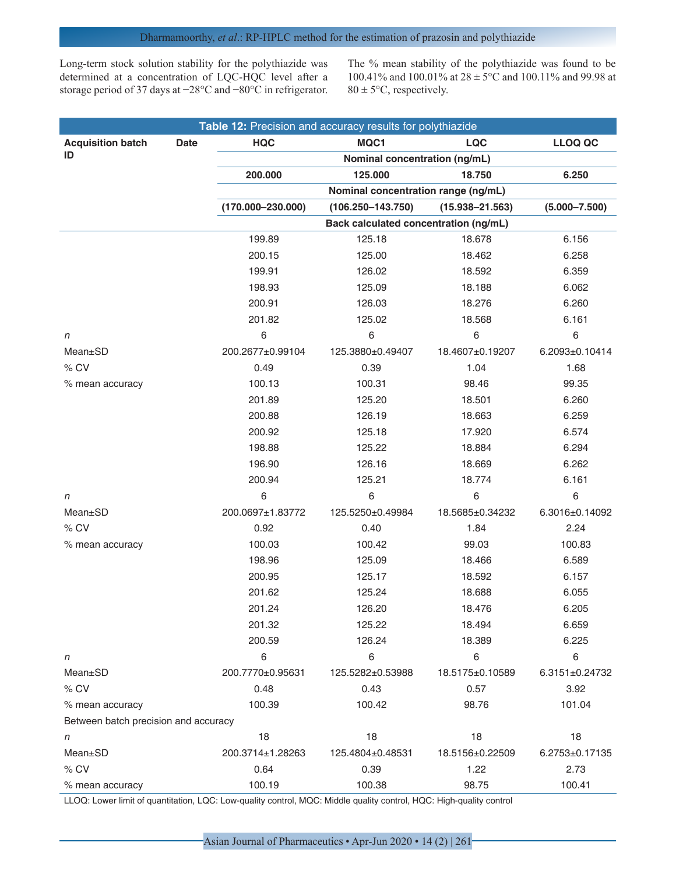Long-term stock solution stability for the polythiazide was determined at a concentration of LQC-HQC level after a storage period of 37 days at −28°C and −80°C in refrigerator.

The % mean stability of the polythiazide was found to be 100.41% and 100.01% at 28 ± 5°C and 100.11% and 99.98 at  $80 \pm 5^{\circ}$ C, respectively.

| Table 12: Precision and accuracy results for polythiazide |                                       |                       |                     |                      |  |  |
|-----------------------------------------------------------|---------------------------------------|-----------------------|---------------------|----------------------|--|--|
| <b>Acquisition batch</b><br><b>Date</b>                   | <b>HQC</b>                            | MQC1                  | LQC                 | <b>LLOQ QC</b>       |  |  |
| ID                                                        | Nominal concentration (ng/mL)         |                       |                     |                      |  |  |
|                                                           | 200.000                               | 125.000               | 18.750              | 6.250                |  |  |
|                                                           | Nominal concentration range (ng/mL)   |                       |                     |                      |  |  |
|                                                           | $(170.000 - 230.000)$                 | $(106.250 - 143.750)$ | $(15.938 - 21.563)$ | $(5.000 - 7.500)$    |  |  |
|                                                           | Back calculated concentration (ng/mL) |                       |                     |                      |  |  |
|                                                           | 199.89                                | 125.18                | 18.678              | 6.156                |  |  |
|                                                           | 200.15                                | 125.00                | 18.462              | 6.258                |  |  |
|                                                           | 199.91                                | 126.02                | 18.592              | 6.359                |  |  |
|                                                           | 198.93                                | 125.09                | 18.188              | 6.062                |  |  |
|                                                           | 200.91                                | 126.03                | 18.276              | 6.260                |  |  |
|                                                           | 201.82                                | 125.02                | 18.568              | 6.161                |  |  |
| n                                                         | 6                                     | 6                     | $\,6$               | 6                    |  |  |
| Mean±SD                                                   | 200.2677±0.99104                      | 125.3880±0.49407      | 18.4607±0.19207     | 6.2093±0.10414       |  |  |
| % CV                                                      | 0.49                                  | 0.39                  | 1.04                | 1.68                 |  |  |
| % mean accuracy                                           | 100.13                                | 100.31                | 98.46               | 99.35                |  |  |
|                                                           | 201.89                                | 125.20                | 18.501              | 6.260                |  |  |
|                                                           | 200.88                                | 126.19                | 18.663              | 6.259                |  |  |
|                                                           | 200.92                                | 125.18                | 17.920              | 6.574                |  |  |
|                                                           | 198.88                                | 125.22                | 18.884              | 6.294                |  |  |
|                                                           | 196.90                                | 126.16                | 18.669              | 6.262                |  |  |
|                                                           | 200.94                                | 125.21                | 18.774              | 6.161                |  |  |
| n                                                         | 6                                     | 6                     | 6                   | $\,6$                |  |  |
| Mean±SD                                                   | 200.0697±1.83772                      | 125.5250±0.49984      | 18.5685±0.34232     | 6.3016±0.14092       |  |  |
| % CV                                                      | 0.92                                  | 0.40                  | 1.84                | 2.24                 |  |  |
| % mean accuracy                                           | 100.03                                | 100.42                | 99.03               | 100.83               |  |  |
|                                                           | 198.96                                | 125.09                | 18.466              | 6.589                |  |  |
|                                                           | 200.95                                | 125.17                | 18.592              | 6.157                |  |  |
|                                                           | 201.62                                | 125.24                | 18.688              | 6.055                |  |  |
|                                                           | 201.24                                | 126.20                | 18.476              | 6.205                |  |  |
|                                                           | 201.32                                | 125.22                | 18.494              | 6.659                |  |  |
|                                                           | 200.59                                | 126.24                | 18.389              | 6.225                |  |  |
| n                                                         | 6                                     | 6                     | 6                   | 6                    |  |  |
| Mean±SD                                                   | 200.7770±0.95631                      | 125.5282±0.53988      | 18.5175±0.10589     | 6.3151±0.24732       |  |  |
| % CV                                                      | 0.48                                  | 0.43                  | 0.57                | 3.92                 |  |  |
| % mean accuracy                                           | 100.39                                | 100.42                | 98.76               | 101.04               |  |  |
| Between batch precision and accuracy                      |                                       |                       |                     |                      |  |  |
| n                                                         | 18                                    | 18                    | 18                  | 18                   |  |  |
| Mean±SD                                                   | 200.3714±1.28263                      | 125.4804±0.48531      | 18.5156±0.22509     | $6.2753 \pm 0.17135$ |  |  |
| % CV                                                      | 0.64                                  | 0.39                  | 1.22                | 2.73                 |  |  |
| % mean accuracy                                           | 100.19                                | 100.38                | 98.75               | 100.41               |  |  |

LLOQ: Lower limit of quantitation, LQC: Low-quality control, MQC: Middle quality control, HQC: High-quality control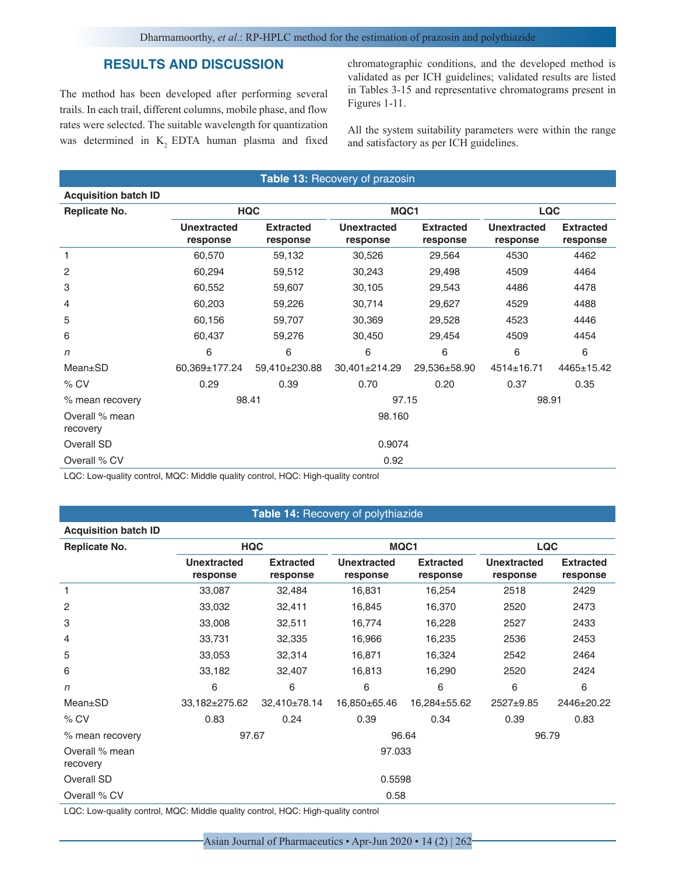## **RESULTS AND DISCUSSION**

The method has been developed after performing several trails. In each trail, different columns, mobile phase, and flow rates were selected. The suitable wavelength for quantization was determined in  $K<sub>2</sub>$  EDTA human plasma and fixed chromatographic conditions, and the developed method is validated as per ICH guidelines; validated results are listed in Tables 3-15 and representative chromatograms present in Figures 1-11.

All the system suitability parameters were within the range and satisfactory as per ICH guidelines.

| Table 13: Recovery of prazosin |                                |                              |                                |                              |                                |                              |  |
|--------------------------------|--------------------------------|------------------------------|--------------------------------|------------------------------|--------------------------------|------------------------------|--|
| <b>Acquisition batch ID</b>    |                                |                              |                                |                              |                                |                              |  |
| <b>Replicate No.</b>           |                                | <b>HQC</b>                   |                                | MQC1                         |                                | <b>LQC</b>                   |  |
|                                | <b>Unextracted</b><br>response | <b>Extracted</b><br>response | <b>Unextracted</b><br>response | <b>Extracted</b><br>response | <b>Unextracted</b><br>response | <b>Extracted</b><br>response |  |
| 1                              | 60,570                         | 59,132                       | 30,526                         | 29,564                       | 4530                           | 4462                         |  |
| 2                              | 60,294                         | 59,512                       | 30,243                         | 29,498                       | 4509                           | 4464                         |  |
| 3                              | 60,552                         | 59,607                       | 30,105                         | 29,543                       | 4486                           | 4478                         |  |
| 4                              | 60,203                         | 59,226                       | 30,714                         | 29,627                       | 4529                           | 4488                         |  |
| 5                              | 60,156                         | 59,707                       | 30,369                         | 29,528                       | 4523                           | 4446                         |  |
| 6                              | 60,437                         | 59,276                       | 30,450                         | 29,454                       | 4509                           | 4454                         |  |
| $\sqrt{n}$                     | 6                              | 6                            | 6                              | 6                            | 6                              | 6                            |  |
| Mean±SD                        | 60,369±177.24                  | 59,410±230.88                | 30,401±214.29                  | 29,536±58.90                 | 4514±16.71                     | 4465±15.42                   |  |
| $%$ CV                         | 0.29                           | 0.39                         | 0.70                           | 0.20                         | 0.37                           | 0.35                         |  |
| % mean recovery                | 98.41                          |                              | 97.15                          |                              | 98.91                          |                              |  |
| Overall % mean<br>recovery     |                                |                              | 98.160                         |                              |                                |                              |  |
| Overall SD                     | 0.9074                         |                              |                                |                              |                                |                              |  |
| Overall % CV                   |                                |                              | 0.92                           |                              |                                |                              |  |

LQC: Low-quality control, MQC: Middle quality control, HQC: High-quality control

## **Table 14:** Recovery of polythiazide

| <b>Acquisition batch ID</b> |                                |                                                  |                                |                              |                                |                              |  |
|-----------------------------|--------------------------------|--------------------------------------------------|--------------------------------|------------------------------|--------------------------------|------------------------------|--|
| <b>Replicate No.</b>        | <b>HQC</b>                     |                                                  |                                | MQC1                         |                                | <b>LQC</b>                   |  |
|                             | <b>Unextracted</b><br>response | <b>Extracted</b><br>response                     | <b>Unextracted</b><br>response | <b>Extracted</b><br>response | <b>Unextracted</b><br>response | <b>Extracted</b><br>response |  |
| 1                           | 33,087                         | 32,484                                           | 16,831                         | 16,254                       | 2518                           | 2429                         |  |
| $\overline{c}$              | 33,032                         | 32,411                                           | 16,845                         | 16,370                       | 2520                           | 2473                         |  |
| 3                           | 33,008                         | 32,511                                           | 16,774                         | 16,228                       | 2527                           | 2433                         |  |
| 4                           | 33,731                         | 32,335                                           | 16,966                         | 16,235                       | 2536                           | 2453                         |  |
| 5                           | 33,053                         | 32,314                                           | 16,871                         | 16,324                       | 2542                           | 2464                         |  |
| 6                           | 33,182                         | 32,407                                           | 16,813                         | 16,290                       | 2520                           | 2424                         |  |
| $\eta$                      | 6                              | 6                                                | 6                              | 6                            | 6                              | 6                            |  |
| $Mean \pm SD$               | 33,182±275.62                  | 32,410±78.14                                     | 16,850±65.46                   | 16,284±55.62                 | $2527 + 9.85$                  | 2446±20.22                   |  |
| $%$ CV                      | 0.83                           | 0.24                                             | 0.39                           | 0.34                         | 0.39                           | 0.83                         |  |
| % mean recovery             | 97.67                          |                                                  | 96.64                          |                              | 96.79                          |                              |  |
| Overall % mean<br>recovery  |                                |                                                  | 97.033                         |                              |                                |                              |  |
| Overall SD                  |                                |                                                  | 0.5598                         |                              |                                |                              |  |
| Overall % CV                |                                |                                                  | 0.58                           |                              |                                |                              |  |
|                             | $\cdots$                       | $\sim$ $\sim$ $\sim$ $\sim$ $\sim$ $\sim$ $\sim$ |                                |                              |                                |                              |  |

LQC: Low-quality control, MQC: Middle quality control, HQC: High-quality control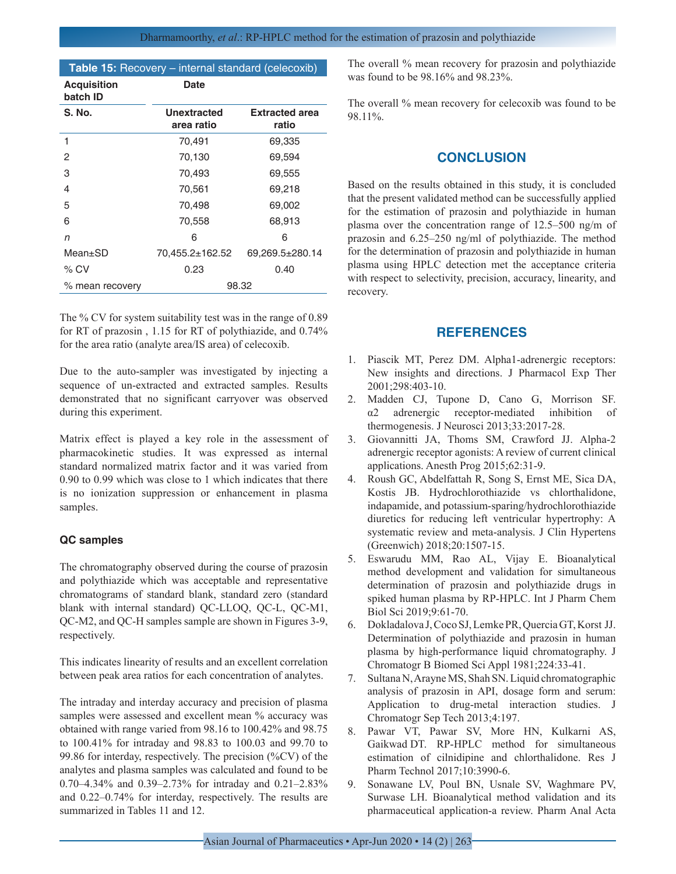| Table 15: Recovery - internal standard (celecoxib) |                           |                                |  |  |  |
|----------------------------------------------------|---------------------------|--------------------------------|--|--|--|
| <b>Acquisition</b><br>batch ID                     | Date                      |                                |  |  |  |
| S. No.                                             | Unextracted<br>area ratio | <b>Extracted area</b><br>ratio |  |  |  |
| 1                                                  | 70,491                    | 69,335                         |  |  |  |
| 2                                                  | 70,130                    | 69,594                         |  |  |  |
| 3                                                  | 70,493                    | 69,555                         |  |  |  |
| 4                                                  | 70,561                    | 69,218                         |  |  |  |
| 5                                                  | 70,498                    | 69,002                         |  |  |  |
| 6                                                  | 70,558                    | 68,913                         |  |  |  |
| n                                                  | 6                         | 6                              |  |  |  |
| Mean±SD                                            | 70,455.2±162.52           | 69,269.5±280.14                |  |  |  |
| $\%$ CV                                            | 0.23<br>0.40              |                                |  |  |  |
| % mean recovery                                    | 98.32                     |                                |  |  |  |

The % CV for system suitability test was in the range of 0.89 for RT of prazosin , 1.15 for RT of polythiazide, and 0.74% for the area ratio (analyte area/IS area) of celecoxib.

Due to the auto-sampler was investigated by injecting a sequence of un-extracted and extracted samples. Results demonstrated that no significant carryover was observed during this experiment.

Matrix effect is played a key role in the assessment of pharmacokinetic studies. It was expressed as internal standard normalized matrix factor and it was varied from 0.90 to 0.99 which was close to 1 which indicates that there is no ionization suppression or enhancement in plasma samples.

## **QC samples**

The chromatography observed during the course of prazosin and polythiazide which was acceptable and representative chromatograms of standard blank, standard zero (standard blank with internal standard) QC-LLOQ, QC-L, QC-M1, QC-M2, and QC-H samples sample are shown in Figures 3-9, respectively.

This indicates linearity of results and an excellent correlation between peak area ratios for each concentration of analytes.

The intraday and interday accuracy and precision of plasma samples were assessed and excellent mean % accuracy was obtained with range varied from 98.16 to 100.42% and 98.75 to 100.41% for intraday and 98.83 to 100.03 and 99.70 to 99.86 for interday, respectively. The precision (%CV) of the analytes and plasma samples was calculated and found to be 0.70–4.34% and 0.39–2.73% for intraday and 0.21–2.83% and 0.22–0.74% for interday, respectively. The results are summarized in Tables 11 and 12.

The overall % mean recovery for prazosin and polythiazide was found to be 98.16% and 98.23%.

The overall % mean recovery for celecoxib was found to be 98.11%.

## **CONCLUSION**

Based on the results obtained in this study, it is concluded that the present validated method can be successfully applied for the estimation of prazosin and polythiazide in human plasma over the concentration range of 12.5–500 ng/m of prazosin and 6.25–250 ng/ml of polythiazide. The method for the determination of prazosin and polythiazide in human plasma using HPLC detection met the acceptance criteria with respect to selectivity, precision, accuracy, linearity, and recovery.

## **REFERENCES**

- 1. Piascik MT, Perez DM. Alpha1-adrenergic receptors: New insights and directions. J Pharmacol Exp Ther 2001;298:403-10.
- 2. Madden CJ, Tupone D, Cano G, Morrison SF. α2 adrenergic receptor-mediated inhibition of thermogenesis. J Neurosci 2013;33:2017-28.
- 3. Giovannitti JA, Thoms SM, Crawford JJ. Alpha-2 adrenergic receptor agonists: A review of current clinical applications. Anesth Prog 2015;62:31-9.
- 4. Roush GC, Abdelfattah R, Song S, Ernst ME, Sica DA, Kostis JB. Hydrochlorothiazide vs chlorthalidone, indapamide, and potassium-sparing/hydrochlorothiazide diuretics for reducing left ventricular hypertrophy: A systematic review and meta-analysis. J Clin Hypertens (Greenwich) 2018;20:1507-15.
- 5. Eswarudu MM, Rao AL, Vijay E. Bioanalytical method development and validation for simultaneous determination of prazosin and polythiazide drugs in spiked human plasma by RP-HPLC. Int J Pharm Chem Biol Sci 2019;9:61-70.
- 6. Dokladalova J, Coco SJ, Lemke PR, Quercia GT, Korst JJ. Determination of polythiazide and prazosin in human plasma by high-performance liquid chromatography. J Chromatogr B Biomed Sci Appl 1981;224:33-41.
- 7. Sultana N, Arayne MS, Shah SN. Liquid chromatographic analysis of prazosin in API, dosage form and serum: Application to drug-metal interaction studies. J Chromatogr Sep Tech 2013;4:197.
- 8. Pawar VT, Pawar SV, More HN, Kulkarni AS, Gaikwad DT. RP-HPLC method for simultaneous estimation of cilnidipine and chlorthalidone. Res J Pharm Technol 2017;10:3990-6.
- 9. Sonawane LV, Poul BN, Usnale SV, Waghmare PV, Surwase LH. Bioanalytical method validation and its pharmaceutical application-a review. Pharm Anal Acta